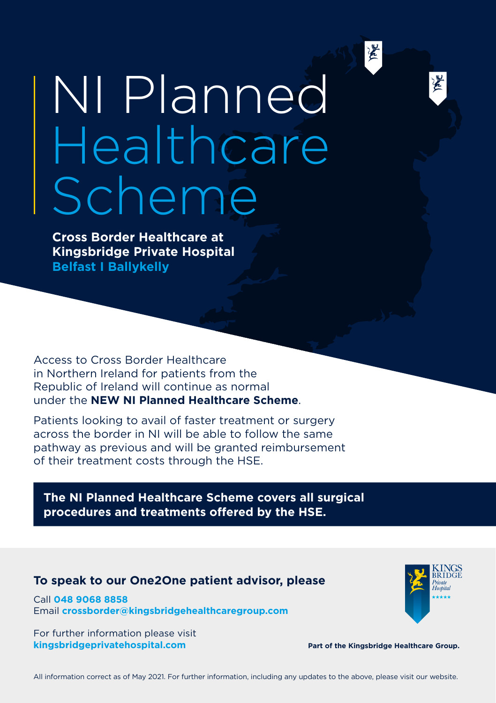

墨

## NI Planned **Healthcare** Scheme

**Cross Border Healthcare at Kingsbridge Private Hospital Belfast I Ballykelly**

Access to Cross Border Healthcare in Northern Ireland for patients from the Republic of Ireland will continue as normal under the **NEW NI Planned Healthcare Scheme**.

Patients looking to avail of faster treatment or surgery across the border in NI will be able to follow the same pathway as previous and will be granted reimbursement of their treatment costs through the HSE.

**The NI Planned Healthcare Scheme covers all surgical procedures and treatments offered by the HSE.**

## **To speak to our One2One patient advisor, please**

Call **048 9068 8858** Email **crossborder@kingsbridgehealthcaregroup.com**

For further information please visit **kingsbridgeprivatehospital.com**



**Part of the Kingsbridge Healthcare Group.**